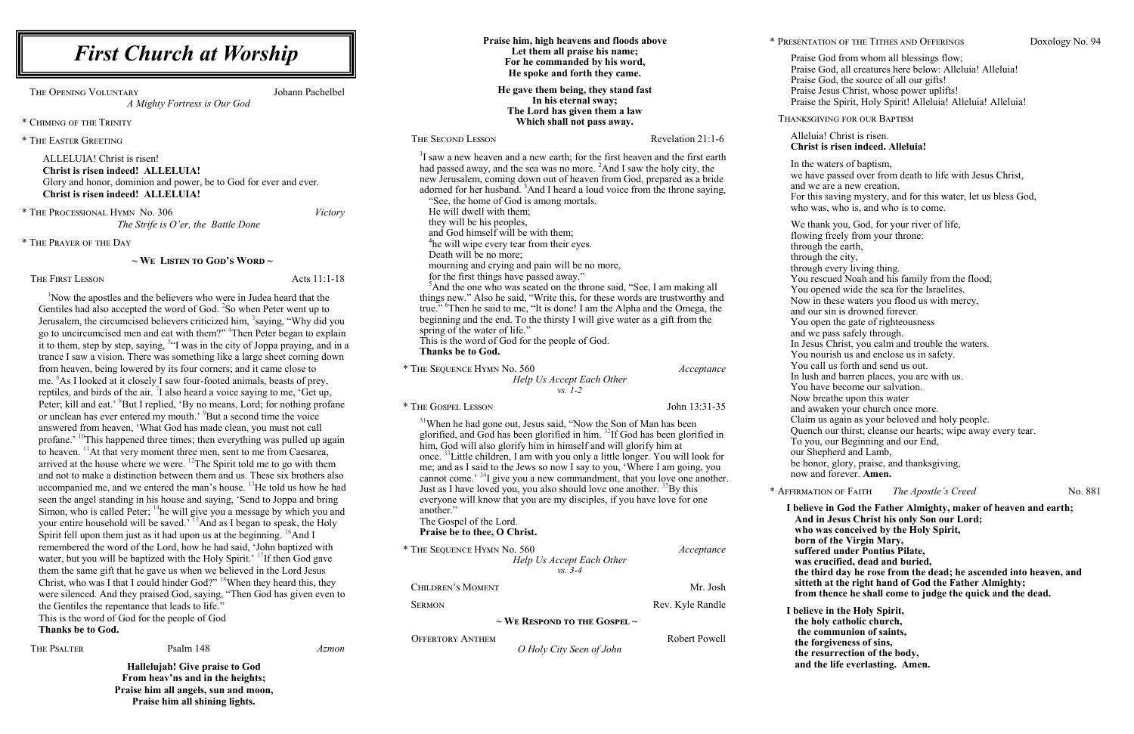**Praise him, high heavens and floods above Let them all praise his name;** 

*O Holy City Seen of John*

\* Presentation of the Tithes and Offerings Doxology No. 94

Praise God from whom all blessings flow; Praise God, all creatures here below: Alleluia! Alleluia! Praise God, the source of all our gifts! Praise Jesus Christ, whose power uplifts! Praise the Spirit, Holy Spirit! Alleluia! Alleluia! Alleluia! Alleluia! Christ is risen. **Christ is risen indeed. Alleluia!** In the waters of baptism, we have passed over from death to life with Jesus Christ, and we are a new creation. For this saving mystery, and for this water, let us bless God, who was, who is, and who is to come. We thank you, God, for your river of life, flowing freely from your throne: through the earth, through the city, through every living thing. You rescued Noah and his family from the flood; You opened wide the sea for the Israelites. Now in these waters you flood us with mercy, and our sin is drowned forever. You open the gate of righteousness and we pass safely through. In Jesus Christ, you calm and trouble the waters. You nourish us and enclose us in safety. You call us forth and send us out. In lush and barren places, you are with us. You have become our salvation. Now breathe upon this water and awaken your church once more. Claim us again as your beloved and holy people. Quench our thirst; cleanse our hearts; wipe away every tear. To you, our Beginning and our End, our Shepherd and Lamb, be honor, glory, praise, and thanksgiving, now and forever. **Amen. I believe in God the Father Almighty, maker of heaven and earth; And in Jesus Christ his only Son our Lord;** 

Thanksgiving for our Baptism \* Affirmation of Faith *The Apostle's Creed* No. 881

| <b>First Church at Worship</b>                                                                                                                                                                                                                                                                                                                                                                                                                                                                                                                                                                                                                                                                                                                                                                                                                                                                                                                  |                                                                                             | Praise him, high heavens and floods above<br>Let them all praise his name;<br>For he commanded by his word,<br>He spoke and forth they came.<br>He gave them being, they stand fast<br>In his eternal sway;<br>The Lord has given them a law                                                                                                                                                                                                                                                                                                                                                                                                                                   |  |
|-------------------------------------------------------------------------------------------------------------------------------------------------------------------------------------------------------------------------------------------------------------------------------------------------------------------------------------------------------------------------------------------------------------------------------------------------------------------------------------------------------------------------------------------------------------------------------------------------------------------------------------------------------------------------------------------------------------------------------------------------------------------------------------------------------------------------------------------------------------------------------------------------------------------------------------------------|---------------------------------------------------------------------------------------------|--------------------------------------------------------------------------------------------------------------------------------------------------------------------------------------------------------------------------------------------------------------------------------------------------------------------------------------------------------------------------------------------------------------------------------------------------------------------------------------------------------------------------------------------------------------------------------------------------------------------------------------------------------------------------------|--|
| HE OPENING VOLUNTARY<br>Johann Pachelbel<br>A Mighty Fortress is Our God                                                                                                                                                                                                                                                                                                                                                                                                                                                                                                                                                                                                                                                                                                                                                                                                                                                                        |                                                                                             |                                                                                                                                                                                                                                                                                                                                                                                                                                                                                                                                                                                                                                                                                |  |
| <b>HIMING OF THE TRINITY</b>                                                                                                                                                                                                                                                                                                                                                                                                                                                                                                                                                                                                                                                                                                                                                                                                                                                                                                                    | Which shall not pass away.                                                                  |                                                                                                                                                                                                                                                                                                                                                                                                                                                                                                                                                                                                                                                                                |  |
| HE EASTER GREETING                                                                                                                                                                                                                                                                                                                                                                                                                                                                                                                                                                                                                                                                                                                                                                                                                                                                                                                              | THE SECOND LESSON                                                                           | Revelation 21:1-6                                                                                                                                                                                                                                                                                                                                                                                                                                                                                                                                                                                                                                                              |  |
| ALLELUIA! Christ is risen!<br><b>Christ is risen indeed! ALLELUIA!</b><br>Glory and honor, dominion and power, be to God for ever and ever.<br>Christ is risen indeed! ALLELUIA!                                                                                                                                                                                                                                                                                                                                                                                                                                                                                                                                                                                                                                                                                                                                                                | "See, the home of God is among mortals.                                                     | <sup>1</sup> I saw a new heaven and a new earth; for the first heaven and the first earth<br>had passed away, and the sea was no more. $^{2}$ And I saw the holy city, the<br>new Jerusalem, coming down out of heaven from God, prepared as a bride<br>adorned for her husband. <sup>3</sup> And I heard a loud voice from the throne saying,                                                                                                                                                                                                                                                                                                                                 |  |
| he Processional Hymn No. 306<br><i>Victory</i><br>The Strife is $O'$ er, the Battle Done                                                                                                                                                                                                                                                                                                                                                                                                                                                                                                                                                                                                                                                                                                                                                                                                                                                        | He will dwell with them;<br>they will be his peoples,<br>and God himself will be with them; |                                                                                                                                                                                                                                                                                                                                                                                                                                                                                                                                                                                                                                                                                |  |
| HE PRAYER OF THE DAY                                                                                                                                                                                                                                                                                                                                                                                                                                                                                                                                                                                                                                                                                                                                                                                                                                                                                                                            | <sup>4</sup> he will wipe every tear from their eyes.                                       |                                                                                                                                                                                                                                                                                                                                                                                                                                                                                                                                                                                                                                                                                |  |
| $\sim$ We Listen to God's Word $\sim$                                                                                                                                                                                                                                                                                                                                                                                                                                                                                                                                                                                                                                                                                                                                                                                                                                                                                                           |                                                                                             | Death will be no more;<br>mourning and crying and pain will be no more,<br>for the first things have passed away."<br><sup>5</sup> And the one who was seated on the throne said, "See, I am making all<br>things new." Also he said, "Write this, for these words are trustworthy and<br>true." <sup>6</sup> Then he said to me, "It is done! I am the Alpha and the Omega, the<br>beginning and the end. To the thirsty I will give water as a gift from the<br>spring of the water of life."<br>This is the word of God for the people of God.<br><b>Thanks be to God.</b>                                                                                                  |  |
| <b>HE FIRST LESSON</b><br>Acts 11:1-18                                                                                                                                                                                                                                                                                                                                                                                                                                                                                                                                                                                                                                                                                                                                                                                                                                                                                                          |                                                                                             |                                                                                                                                                                                                                                                                                                                                                                                                                                                                                                                                                                                                                                                                                |  |
| Now the apostles and the believers who were in Judea heard that the<br>Gentiles had also accepted the word of God. <sup>2</sup> So when Peter went up to<br>Jerusalem, the circumcised believers criticized him, <sup>3</sup> saying, "Why did you<br>go to uncircumcised men and eat with them?" <sup>4</sup> Then Peter began to explain<br>it to them, step by step, saying, <sup>54</sup> was in the city of Joppa praying, and in a<br>trance I saw a vision. There was something like a large sheet coming down                                                                                                                                                                                                                                                                                                                                                                                                                           |                                                                                             |                                                                                                                                                                                                                                                                                                                                                                                                                                                                                                                                                                                                                                                                                |  |
| from heaven, being lowered by its four corners; and it came close to<br>me. <sup>6</sup> As I looked at it closely I saw four-footed animals, beasts of prey,<br>reptiles, and birds of the air. <i>I</i> also heard a voice saying to me, 'Get up,                                                                                                                                                                                                                                                                                                                                                                                                                                                                                                                                                                                                                                                                                             | * THE SEQUENCE HYMN No. 560<br>Help Us Accept Each Other<br>$vs. 1-2$                       | Acceptance                                                                                                                                                                                                                                                                                                                                                                                                                                                                                                                                                                                                                                                                     |  |
| Peter; kill and eat.' <sup>8</sup> But I replied, 'By no means, Lord; for nothing profane                                                                                                                                                                                                                                                                                                                                                                                                                                                                                                                                                                                                                                                                                                                                                                                                                                                       | * THE GOSPEL LESSON                                                                         | John 13:31-35                                                                                                                                                                                                                                                                                                                                                                                                                                                                                                                                                                                                                                                                  |  |
| or unclean has ever entered my mouth.' <sup>9</sup> But a second time the voice<br>answered from heaven, 'What God has made clean, you must not call<br>profane.' <sup>10</sup> This happened three times; then everything was pulled up again<br>to heaven. <sup>11</sup> At that very moment three men, sent to me from Caesarea,<br>arrived at the house where we were. $^{12}$ The Spirit told me to go with them<br>and not to make a distinction between them and us. These six brothers also<br>accompanied me, and we entered the man's house. <sup>13</sup> He told us how he had<br>seen the angel standing in his house and saying, 'Send to Joppa and bring<br>Simon, who is called Peter; <sup>14</sup> he will give you a message by which you and<br>your entire household will be saved.' <sup>15</sup> And as I began to speak, the Holy<br>Spirit fell upon them just as it had upon us at the beginning. <sup>16</sup> And I | another."<br>The Gospel of the Lord.<br>Praise be to thee, O Christ.                        | <sup>31</sup> When he had gone out, Jesus said, "Now the Son of Man has been<br>glorified, and God has been glorified in him. <sup>32</sup> If God has been glorified in<br>him, God will also glorify him in himself and will glorify him at<br>once. <sup>33</sup> Little children, I am with you only a little longer. You will look for<br>me; and as I said to the Jews so now I say to you, 'Where I am going, you<br>cannot come. <sup>34</sup> I give you a new commandment, that you love one another.<br>Just as I have loved you, you also should love one another. <sup>35</sup> By this<br>everyone will know that you are my disciples, if you have love for one |  |
| remembered the word of the Lord, how he had said, 'John baptized with                                                                                                                                                                                                                                                                                                                                                                                                                                                                                                                                                                                                                                                                                                                                                                                                                                                                           | * THE SEQUENCE HYMN No. 560                                                                 | Acceptance                                                                                                                                                                                                                                                                                                                                                                                                                                                                                                                                                                                                                                                                     |  |
| water, but you will be baptized with the Holy Spirit.' <sup>T</sup> If then God gave<br>them the same gift that he gave us when we believed in the Lord Jesus                                                                                                                                                                                                                                                                                                                                                                                                                                                                                                                                                                                                                                                                                                                                                                                   | Help Us Accept Each Other<br>$vs. 3-4$                                                      |                                                                                                                                                                                                                                                                                                                                                                                                                                                                                                                                                                                                                                                                                |  |
| Christ, who was I that I could hinder God?" <sup>18</sup> When they heard this, they                                                                                                                                                                                                                                                                                                                                                                                                                                                                                                                                                                                                                                                                                                                                                                                                                                                            |                                                                                             |                                                                                                                                                                                                                                                                                                                                                                                                                                                                                                                                                                                                                                                                                |  |
| were silenced. And they praised God, saying, "Then God has given even to                                                                                                                                                                                                                                                                                                                                                                                                                                                                                                                                                                                                                                                                                                                                                                                                                                                                        | <b>CHILDREN'S MOMENT</b>                                                                    | Mr. Josh                                                                                                                                                                                                                                                                                                                                                                                                                                                                                                                                                                                                                                                                       |  |
| the Gentiles the repentance that leads to life."                                                                                                                                                                                                                                                                                                                                                                                                                                                                                                                                                                                                                                                                                                                                                                                                                                                                                                | <b>SERMON</b>                                                                               | Rev. Kyle Randle                                                                                                                                                                                                                                                                                                                                                                                                                                                                                                                                                                                                                                                               |  |
| This is the word of God for the people of God<br>Thanks he to Ced                                                                                                                                                                                                                                                                                                                                                                                                                                                                                                                                                                                                                                                                                                                                                                                                                                                                               | $\sim$ We Respond to the Gospel $\sim$                                                      |                                                                                                                                                                                                                                                                                                                                                                                                                                                                                                                                                                                                                                                                                |  |

**who was conceived by the Holy Spirit, born of the Virgin Mary, suffered under Pontius Pilate, was crucified, dead and buried, the third day he rose from the dead; he ascended into heaven, and sitteth at the right hand of God the Father Almighty; from thence he shall come to judge the quick and the dead.**

**I believe in the Holy Spirit, the holy catholic church, the communion of saints, the forgiveness of sins, the resurrection of the body, and the life everlasting. Amen.** 

\* The Processional Hymn *The S* 

\* Chiming of the Trinity

\* The Easter Greeting

\* The Prayer of the Day

THE OPENING VOLUNTARY

#### **~ We Listen to God's Word ~**

THE FIRST LESSON

OFFERTORY ANTHEM **Robert Powell** 

**Thanks be to God.**

THE PSALTER **PSALTER** PSalm 148 *Azmon* 

**Hallelujah! Give praise to God From heav'ns and in the heights; Praise him all angels, sun and moon, Praise him all shining lights.**